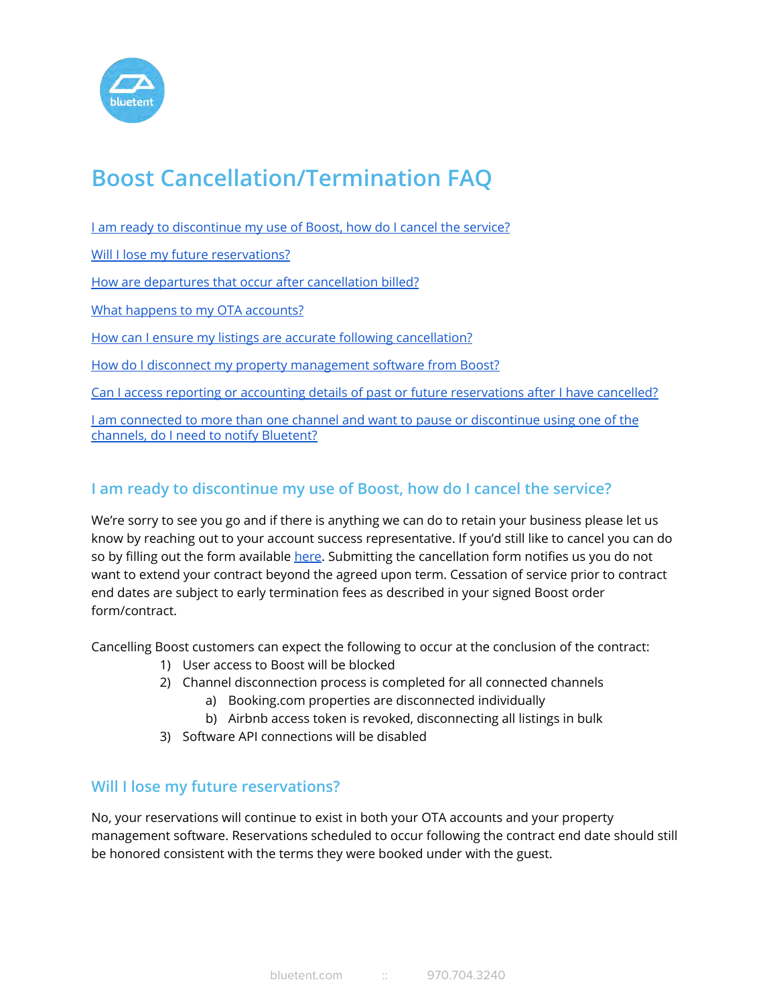

# **Boost Cancellation/Termination FAQ**

| I am ready to discontinue my use of Boost, how do I cancel the service?                                                              |
|--------------------------------------------------------------------------------------------------------------------------------------|
| Will I lose my future reservations?                                                                                                  |
| How are departures that occur after cancellation billed?                                                                             |
| What happens to my OTA accounts?                                                                                                     |
| How can I ensure my listings are accurate following cancellation?                                                                    |
| How do I disconnect my property management software from Boost?                                                                      |
| Can I access reporting or accounting details of past or future reservations after I have cancelled?                                  |
| I am connected to more than one channel and want to pause or discontinue using one of the<br>channels, do I need to notify Bluetent? |

## <span id="page-0-0"></span>**I am ready to discontinue my use of Boost, how do I cancel the service?**

We're sorry to see you go and if there is anything we can do to retain your business please let us know by reaching out to your account success representative. If you'd still like to cancel you can do so by filling out the form available [here.](https://www.bluetent.com/cancellation/) Submitting the cancellation form notifies us you do not want to extend your contract beyond the agreed upon term. Cessation of service prior to contract end dates are subject to early termination fees as described in your signed Boost order form/contract.

Cancelling Boost customers can expect the following to occur at the conclusion of the contract:

- 1) User access to Boost will be blocked
- 2) Channel disconnection process is completed for all connected channels
	- a) Booking.com properties are disconnected individually
	- b) Airbnb access token is revoked, disconnecting all listings in bulk
- 3) Software API connections will be disabled

#### <span id="page-0-1"></span>**Will I lose my future reservations?**

<span id="page-0-2"></span>No, your reservations will continue to exist in both your OTA accounts and your property management software. Reservations scheduled to occur following the contract end date should still be honored consistent with the terms they were booked under with the guest.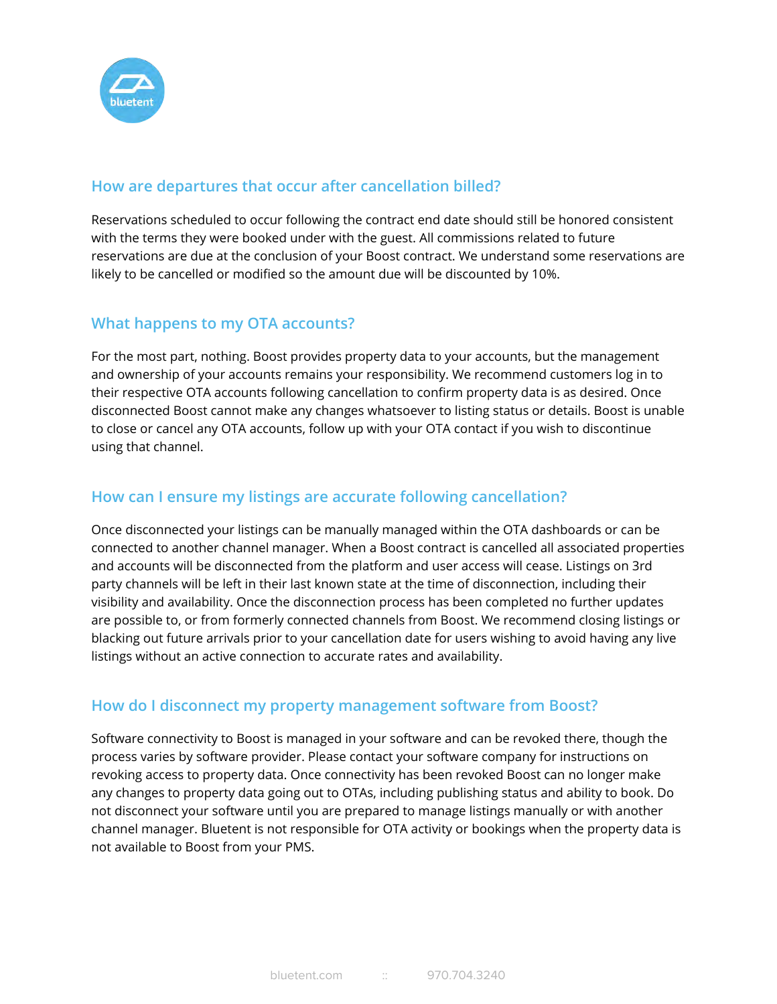

## **How are departures that occur after cancellation billed?**

Reservations scheduled to occur following the contract end date should still be honored consistent with the terms they were booked under with the guest. All commissions related to future reservations are due at the conclusion of your Boost contract. We understand some reservations are likely to be cancelled or modified so the amount due will be discounted by 10%.

## <span id="page-1-0"></span>**What happens to my OTA accounts?**

For the most part, nothing. Boost provides property data to your accounts, but the management and ownership of your accounts remains your responsibility. We recommend customers log in to their respective OTA accounts following cancellation to confirm property data is as desired. Once disconnected Boost cannot make any changes whatsoever to listing status or details. Boost is unable to close or cancel any OTA accounts, follow up with your OTA contact if you wish to discontinue using that channel.

## <span id="page-1-1"></span>**How can I ensure my listings are accurate following cancellation?**

Once disconnected your listings can be manually managed within the OTA dashboards or can be connected to another channel manager. When a Boost contract is cancelled all associated properties and accounts will be disconnected from the platform and user access will cease. Listings on 3rd party channels will be left in their last known state at the time of disconnection, including their visibility and availability. Once the disconnection process has been completed no further updates are possible to, or from formerly connected channels from Boost. We recommend closing listings or blacking out future arrivals prior to your cancellation date for users wishing to avoid having any live listings without an active connection to accurate rates and availability.

#### <span id="page-1-2"></span>**How do I disconnect my property management software from Boost?**

Software connectivity to Boost is managed in your software and can be revoked there, though the process varies by software provider. Please contact your software company for instructions on revoking access to property data. Once connectivity has been revoked Boost can no longer make any changes to property data going out to OTAs, including publishing status and ability to book. Do not disconnect your software until you are prepared to manage listings manually or with another channel manager. Bluetent is not responsible for OTA activity or bookings when the property data is not available to Boost from your PMS.